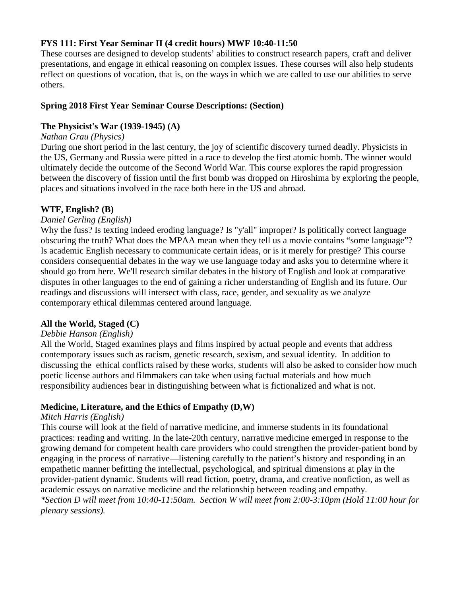# **FYS 111: First Year Seminar II (4 credit hours) MWF 10:40-11:50**

These courses are designed to develop students' abilities to construct research papers, craft and deliver presentations, and engage in ethical reasoning on complex issues. These courses will also help students reflect on questions of vocation, that is, on the ways in which we are called to use our abilities to serve others.

### **Spring 2018 First Year Seminar Course Descriptions: (Section)**

### **The Physicist's War (1939-1945) (A)**

### *Nathan Grau (Physics)*

During one short period in the last century, the joy of scientific discovery turned deadly. Physicists in the US, Germany and Russia were pitted in a race to develop the first atomic bomb. The winner would ultimately decide the outcome of the Second World War. This course explores the rapid progression between the discovery of fission until the first bomb was dropped on Hiroshima by exploring the people, places and situations involved in the race both here in the US and abroad.

# **WTF, English? (B)**

### *Daniel Gerling (English)*

Why the fuss? Is texting indeed eroding language? Is "y'all" improper? Is politically correct language obscuring the truth? What does the MPAA mean when they tell us a movie contains "some language"? Is academic English necessary to communicate certain ideas, or is it merely for prestige? This course considers consequential debates in the way we use language today and asks you to determine where it should go from here. We'll research similar debates in the history of English and look at comparative disputes in other languages to the end of gaining a richer understanding of English and its future. Our readings and discussions will intersect with class, race, gender, and sexuality as we analyze contemporary ethical dilemmas centered around language.

#### **All the World, Staged (C)**

#### *Debbie Hanson (English)*

All the World, Staged examines plays and films inspired by actual people and events that address contemporary issues such as racism, genetic research, sexism, and sexual identity. In addition to discussing the ethical conflicts raised by these works, students will also be asked to consider how much poetic license authors and filmmakers can take when using factual materials and how much responsibility audiences bear in distinguishing between what is fictionalized and what is not.

#### **Medicine, Literature, and the Ethics of Empathy (D,W)**

#### *Mitch Harris (English)*

This course will look at the field of narrative medicine, and immerse students in its foundational practices: reading and writing. In the late-20th century, narrative medicine emerged in response to the growing demand for competent health care providers who could strengthen the provider-patient bond by engaging in the process of narrative—listening carefully to the patient's history and responding in an empathetic manner befitting the intellectual, psychological, and spiritual dimensions at play in the provider-patient dynamic. Students will read fiction, poetry, drama, and creative nonfiction, as well as academic essays on narrative medicine and the relationship between reading and empathy. *\*Section D will meet from 10:40-11:50am. Section W will meet from 2:00-3:10pm (Hold 11:00 hour for plenary sessions).*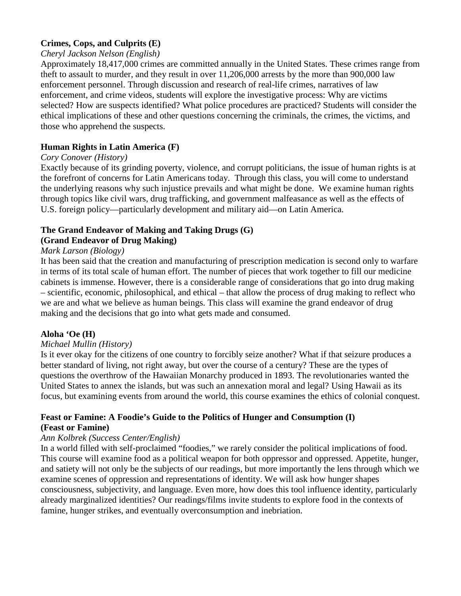# **Crimes, Cops, and Culprits (E)**

#### *Cheryl Jackson Nelson (English)*

Approximately 18,417,000 crimes are committed annually in the United States. These crimes range from theft to assault to murder, and they result in over 11,206,000 arrests by the more than 900,000 law enforcement personnel. Through discussion and research of real-life crimes, narratives of law enforcement, and crime videos, students will explore the investigative process: Why are victims selected? How are suspects identified? What police procedures are practiced? Students will consider the ethical implications of these and other questions concerning the criminals, the crimes, the victims, and those who apprehend the suspects.

# **Human Rights in Latin America (F)**

### *Cory Conover (History)*

Exactly because of its grinding poverty, violence, and corrupt politicians, the issue of human rights is at the forefront of concerns for Latin Americans today. Through this class, you will come to understand the underlying reasons why such injustice prevails and what might be done. We examine human rights through topics like civil wars, drug trafficking, and government malfeasance as well as the effects of U.S. foreign policy—particularly development and military aid—on Latin America.

### **The Grand Endeavor of Making and Taking Drugs (G) (Grand Endeavor of Drug Making)**

### *Mark Larson (Biology)*

It has been said that the creation and manufacturing of prescription medication is second only to warfare in terms of its total scale of human effort. The number of pieces that work together to fill our medicine cabinets is immense. However, there is a considerable range of considerations that go into drug making – scientific, economic, philosophical, and ethical – that allow the process of drug making to reflect who we are and what we believe as human beings. This class will examine the grand endeavor of drug making and the decisions that go into what gets made and consumed.

# **Aloha 'Oe (H)**

#### *Michael Mullin (History)*

Is it ever okay for the citizens of one country to forcibly seize another? What if that seizure produces a better standard of living, not right away, but over the course of a century? These are the types of questions the overthrow of the Hawaiian Monarchy produced in 1893. The revolutionaries wanted the United States to annex the islands, but was such an annexation moral and legal? Using Hawaii as its focus, but examining events from around the world, this course examines the ethics of colonial conquest.

# **Feast or Famine: A Foodie's Guide to the Politics of Hunger and Consumption (I) (Feast or Famine)**

#### *Ann Kolbrek (Success Center/English)*

In a world filled with self-proclaimed "foodies," we rarely consider the political implications of food. This course will examine food as a political weapon for both oppressor and oppressed. Appetite, hunger, and satiety will not only be the subjects of our readings, but more importantly the lens through which we examine scenes of oppression and representations of identity. We will ask how hunger shapes consciousness, subjectivity, and language. Even more, how does this tool influence identity, particularly already marginalized identities? Our readings/films invite students to explore food in the contexts of famine, hunger strikes, and eventually overconsumption and inebriation.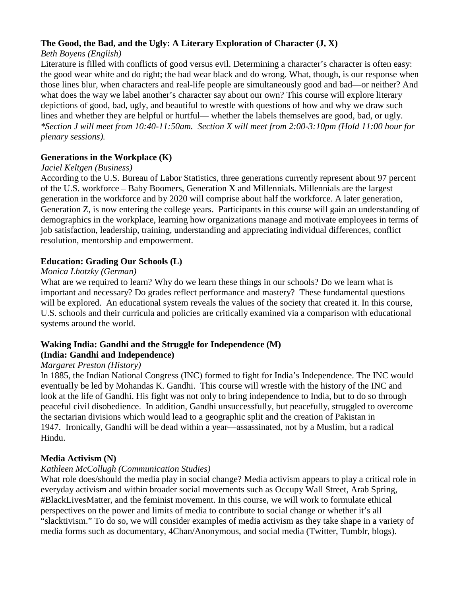# **The Good, the Bad, and the Ugly: A Literary Exploration of Character (J, X)**

# *Beth Boyens (English)*

Literature is filled with conflicts of good versus evil. Determining a character's character is often easy: the good wear white and do right; the bad wear black and do wrong. What, though, is our response when those lines blur, when characters and real-life people are simultaneously good and bad—or neither? And what does the way we label another's character say about our own? This course will explore literary depictions of good, bad, ugly, and beautiful to wrestle with questions of how and why we draw such lines and whether they are helpful or hurtful— whether the labels themselves are good, bad, or ugly. *\*Section J will meet from 10:40-11:50am. Section X will meet from 2:00-3:10pm (Hold 11:00 hour for plenary sessions).*

# **Generations in the Workplace (K)**

### *Jaciel Keltgen (Business)*

According to the U.S. Bureau of Labor Statistics, three generations currently represent about 97 percent of the U.S. workforce – Baby Boomers, Generation X and Millennials. Millennials are the largest generation in the workforce and by 2020 will comprise about half the workforce. A later generation, Generation Z, is now entering the college years. Participants in this course will gain an understanding of demographics in the workplace, learning how organizations manage and motivate employees in terms of job satisfaction, leadership, training, understanding and appreciating individual differences, conflict resolution, mentorship and empowerment.

# **Education: Grading Our Schools (L)**

# *Monica Lhotzky (German)*

What are we required to learn? Why do we learn these things in our schools? Do we learn what is important and necessary? Do grades reflect performance and mastery? These fundamental questions will be explored. An educational system reveals the values of the society that created it. In this course, U.S. schools and their curricula and policies are critically examined via a comparison with educational systems around the world.

#### **Waking India: Gandhi and the Struggle for Independence (M) (India: Gandhi and Independence)**

# *Margaret Preston (History)*

In 1885, the Indian National Congress (INC) formed to fight for India's Independence. The INC would eventually be led by Mohandas K. Gandhi. This course will wrestle with the history of the INC and look at the life of Gandhi. His fight was not only to bring independence to India, but to do so through peaceful civil disobedience. In addition, Gandhi unsuccessfully, but peacefully, struggled to overcome the sectarian divisions which would lead to a geographic split and the creation of Pakistan in 1947. Ironically, Gandhi will be dead within a year—assassinated, not by a Muslim, but a radical Hindu.

# **Media Activism (N)**

# *Kathleen McCollugh (Communication Studies)*

What role does/should the media play in social change? Media activism appears to play a critical role in everyday activism and within broader social movements such as Occupy Wall Street, Arab Spring, #BlackLivesMatter, and the feminist movement. In this course, we will work to formulate ethical perspectives on the power and limits of media to contribute to social change or whether it's all "slacktivism." To do so, we will consider examples of media activism as they take shape in a variety of media forms such as documentary, 4Chan/Anonymous, and social media (Twitter, Tumblr, blogs).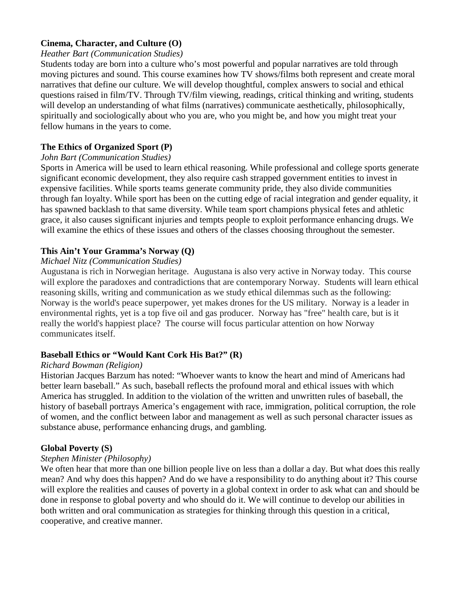### **Cinema, Character, and Culture (O)**

#### *Heather Bart (Communication Studies)*

Students today are born into a culture who's most powerful and popular narratives are told through moving pictures and sound. This course examines how TV shows/films both represent and create moral narratives that define our culture. We will develop thoughtful, complex answers to social and ethical questions raised in film/TV. Through TV/film viewing, readings, critical thinking and writing, students will develop an understanding of what films (narratives) communicate aesthetically, philosophically, spiritually and sociologically about who you are, who you might be, and how you might treat your fellow humans in the years to come.

### **The Ethics of Organized Sport (P)**

### *John Bart (Communication Studies)*

Sports in America will be used to learn ethical reasoning. While professional and college sports generate significant economic development, they also require cash strapped government entities to invest in expensive facilities. While sports teams generate community pride, they also divide communities through fan loyalty. While sport has been on the cutting edge of racial integration and gender equality, it has spawned backlash to that same diversity. While team sport champions physical fetes and athletic grace, it also causes significant injuries and tempts people to exploit performance enhancing drugs. We will examine the ethics of these issues and others of the classes choosing throughout the semester.

# **This Ain't Your Gramma's Norway (Q)**

#### *Michael Nitz (Communication Studies)*

Augustana is rich in Norwegian heritage. Augustana is also very active in Norway today. This course will explore the paradoxes and contradictions that are contemporary Norway. Students will learn ethical reasoning skills, writing and communication as we study ethical dilemmas such as the following: Norway is the world's peace superpower, yet makes drones for the US military. Norway is a leader in environmental rights, yet is a top five oil and gas producer. Norway has "free" health care, but is it really the world's happiest place? The course will focus particular attention on how Norway communicates itself.

# **Baseball Ethics or "Would Kant Cork His Bat?" (R)**

#### *Richard Bowman (Religion)*

Historian Jacques Barzum has noted: "Whoever wants to know the heart and mind of Americans had better learn baseball." As such, baseball reflects the profound moral and ethical issues with which America has struggled. In addition to the violation of the written and unwritten rules of baseball, the history of baseball portrays America's engagement with race, immigration, political corruption, the role of women, and the conflict between labor and management as well as such personal character issues as substance abuse, performance enhancing drugs, and gambling.

#### **Global Poverty (S)**

#### *Stephen Minister (Philosophy)*

We often hear that more than one billion people live on less than a dollar a day. But what does this really mean? And why does this happen? And do we have a responsibility to do anything about it? This course will explore the realities and causes of poverty in a global context in order to ask what can and should be done in response to global poverty and who should do it. We will continue to develop our abilities in both written and oral communication as strategies for thinking through this question in a critical, cooperative, and creative manner.